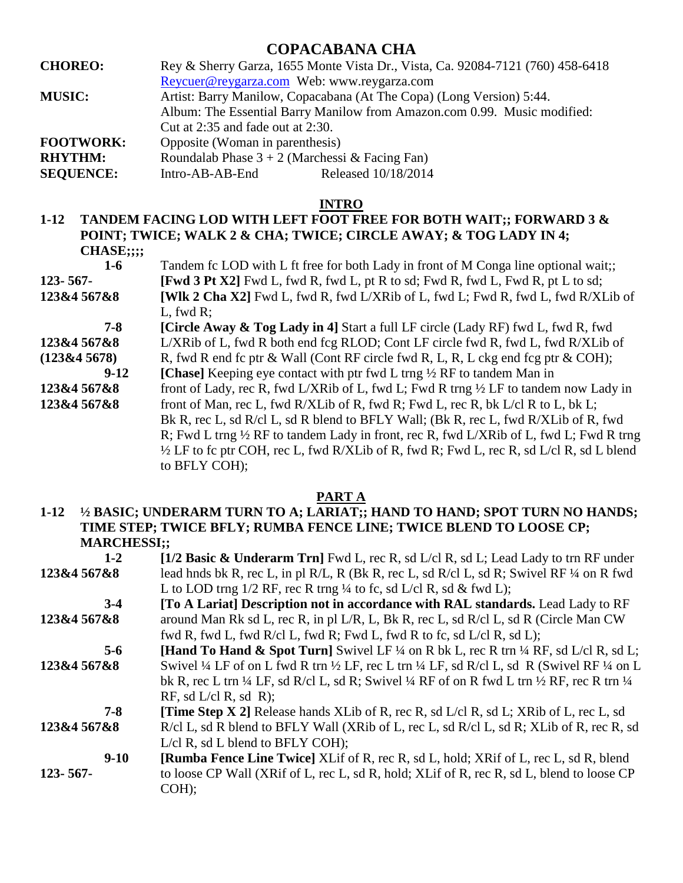# **COPACABANA CHA**

| <b>CHOREO:</b>   | Rey & Sherry Garza, 1655 Monte Vista Dr., Vista, Ca. 92084-7121 (760) 458-6418 |
|------------------|--------------------------------------------------------------------------------|
|                  | Reycuer@reygarza.com Web: www.reygarza.com                                     |
| <b>MUSIC:</b>    | Artist: Barry Manilow, Copacabana (At The Copa) (Long Version) 5:44.           |
|                  | Album: The Essential Barry Manilow from Amazon.com 0.99. Music modified:       |
|                  | Cut at $2:35$ and fade out at $2:30$ .                                         |
| <b>FOOTWORK:</b> | Opposite (Woman in parenthesis)                                                |
| <b>RHYTHM:</b>   | Roundalab Phase $3 + 2$ (Marchessi & Facing Fan)                               |
| <b>SEQUENCE:</b> | Released 10/18/2014<br>Intro-AB-AB-End                                         |

### **INTRO**

**1-12 TANDEM FACING LOD WITH LEFT FOOT FREE FOR BOTH WAIT;; FORWARD 3 & POINT; TWICE; WALK 2 & CHA; TWICE; CIRCLE AWAY; & TOG LADY IN 4; CHASE;;;;** 

| $1-6$         | Tandem fc LOD with L ft free for both Lady in front of M Conga line optional wait;                 |
|---------------|----------------------------------------------------------------------------------------------------|
| $123 - 567 -$ | <b>[Fwd 3 Pt X2]</b> Fwd L, fwd R, fwd L, pt R to sd; Fwd R, fwd L, Fwd R, pt L to sd;             |
| 123&4 567&8   | <b>[WIk 2 Cha X2]</b> Fwd L, fwd R, fwd L/XRib of L, fwd L; Fwd R, fwd L, fwd R/XLib of            |
|               | L, fwd $R$ ;                                                                                       |
| $7-8$         | <b>[Circle Away &amp; Tog Lady in 4] Start a full LF circle (Lady RF) fwd L, fwd R, fwd</b>        |
| 123&4 567&8   | L/XRib of L, fwd R both end fcg RLOD; Cont LF circle fwd R, fwd L, fwd R/XLib of                   |
| (123&45678)   | R, fwd R end fc ptr & Wall (Cont RF circle fwd R, L, R, L ckg end fcg ptr & COH);                  |
| $9-12$        | [Chase] Keeping eye contact with ptr fwd L trng $\frac{1}{2}$ RF to tandem Man in                  |
| 123&4 567&8   | front of Lady, rec R, fwd L/XRib of L, fwd L; Fwd R trng $\frac{1}{2}$ LF to tandem now Lady in    |
| 123&4 567&8   | front of Man, rec L, fwd R/XLib of R, fwd R; Fwd L, rec R, bk L/cl R to L, bk L;                   |
|               | Bk R, rec L, sd R/cl L, sd R blend to BFLY Wall; (Bk R, rec L, fwd R/XLib of R, fwd                |
|               | R; Fwd L trng $\frac{1}{2}$ RF to tandem Lady in front, rec R, fwd L/XRib of L, fwd L; Fwd R trng  |
|               | $\frac{1}{2}$ LF to fc ptr COH, rec L, fwd R/XLib of R, fwd R; Fwd L, rec R, sd L/cl R, sd L blend |
|               | to BFLY COH);                                                                                      |

#### **PART A**

## **1-12 ½ BASIC; UNDERARM TURN TO A; LARIAT;; HAND TO HAND; SPOT TURN NO HANDS; TIME STEP; TWICE BFLY; RUMBA FENCE LINE; TWICE BLEND TO LOOSE CP; MARCHESSI;;**

| $1 - 2$       | $1/2$ Basic & Underarm Trn] Fwd L, rec R, sd L/cl R, sd L; Lead Lady to trn RF under                                                  |
|---------------|---------------------------------------------------------------------------------------------------------------------------------------|
| 123&4 567&8   | lead hnds bk R, rec L, in pl R/L, R (Bk R, rec L, sd R/cl L, sd R; Swivel RF 1/4 on R fwd                                             |
|               | L to LOD trng $1/2$ RF, rec R trng $\frac{1}{4}$ to fc, sd L/cl R, sd & fwd L);                                                       |
| $3-4$         | [To A Lariat] Description not in accordance with RAL standards. Lead Lady to RF                                                       |
| 123&4 567&8   | around Man Rk sd L, rec R, in pl L/R, L, Bk R, rec L, sd R/cl L, sd R (Circle Man CW)                                                 |
|               | fwd R, fwd L, fwd R/cl L, fwd R; Fwd L, fwd R to fc, sd L/cl R, sd L);                                                                |
| $5 - 6$       | <b>[Hand To Hand &amp; Spot Turn]</b> Swivel LF $\frac{1}{4}$ on R bk L, rec R trn $\frac{1}{4}$ RF, sd L/cl R, sd L;                 |
| 123&4 567&8   | Swivel $\frac{1}{4}$ LF of on L fwd R trn $\frac{1}{2}$ LF, rec L trn $\frac{1}{4}$ LF, sd R/cl L, sd R (Swivel RF $\frac{1}{4}$ on L |
|               | bk R, rec L trn ¼ LF, sd R/cl L, sd R; Swivel ¼ RF of on R fwd L trn ½ RF, rec R trn ¼                                                |
|               | RF, sd $L/c$ l R, sd R);                                                                                                              |
| $7 - 8$       | <b>Time Step X 2]</b> Release hands XLib of R, rec R, sd L/cl R, sd L; XRib of L, rec L, sd                                           |
| 123&4 567&8   | R/cl L, sd R blend to BFLY Wall (XRib of L, rec L, sd R/cl L, sd R; XLib of R, rec R, sd                                              |
|               | $L$ /cl R, sd L blend to BFLY COH);                                                                                                   |
| $9-10$        | <b>[Rumba Fence Line Twice]</b> XLif of R, rec R, sd L, hold; XRif of L, rec L, sd R, blend                                           |
| $123 - 567 -$ | to loose CP Wall (XRif of L, rec L, sd R, hold; XLif of R, rec R, sd L, blend to loose CP                                             |
|               | $COH$ ;                                                                                                                               |